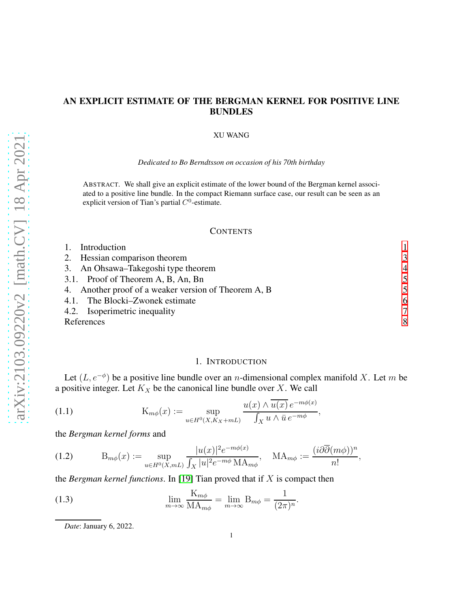# AN EXPLICIT ESTIMATE OF THE BERGMAN KERNEL FOR POSITIVE LINE BUNDLES

### XU WANG

#### *Dedicated to Bo Berndtsson on occasion of his 70th birthday*

ABSTRACT. We shall give an explicit estimate of the lower bound of the Bergman kernel associated to a positive line bundle. In the compact Riemann surface case, our result can be seen as an explicit version of Tian's partial  $C^0$ -estimate.

### **CONTENTS**

| Introduction                                         |                |
|------------------------------------------------------|----------------|
| Hessian comparison theorem<br>2.                     | 3              |
| 3. An Ohsawa–Takegoshi type theorem                  | $\overline{4}$ |
| 3.1. Proof of Theorem A, B, An, Bn                   | 5              |
| 4. Another proof of a weaker version of Theorem A, B |                |
| 4.1. The Blocki–Zwonek estimate                      | 6              |
| 4.2. Isoperimetric inequality                        | 7              |
| References                                           | 8              |

### <span id="page-0-2"></span>1. INTRODUCTION

<span id="page-0-0"></span>Let  $(L, e^{-\phi})$  be a positive line bundle over an *n*-dimensional complex manifold X. Let m be a positive integer. Let  $K_X$  be the canonical line bundle over X. We call

(1.1) 
$$
K_{m\phi}(x) := \sup_{u \in H^0(X, K_X + mL)} \frac{u(x) \wedge \overline{u(x)} e^{-m\phi(x)}}{\int_X u \wedge \overline{u} e^{-m\phi}},
$$

the *Bergman kernel forms* and

<span id="page-0-3"></span>
$$
(1.2) \t\t Bm\phi(x) := \sup_{u \in H^0(X,mL)} \frac{|u(x)|^2 e^{-m\phi(x)}}{\int_X |u|^2 e^{-m\phi} \operatorname{MA}_{m\phi}}, \quad \operatorname{MA}_{m\phi} := \frac{(i\partial \overline{\partial}(m\phi))^n}{n!},
$$

the *Bergman kernel functions*. In [\[19\]](#page-7-1) Tian proved that if X is compact then

(1.3) 
$$
\lim_{m \to \infty} \frac{K_{m\phi}}{M A_{m\phi}} = \lim_{m \to \infty} B_{m\phi} = \frac{1}{(2\pi)^n}
$$

<span id="page-0-1"></span>*Date*: January 6, 2022.

.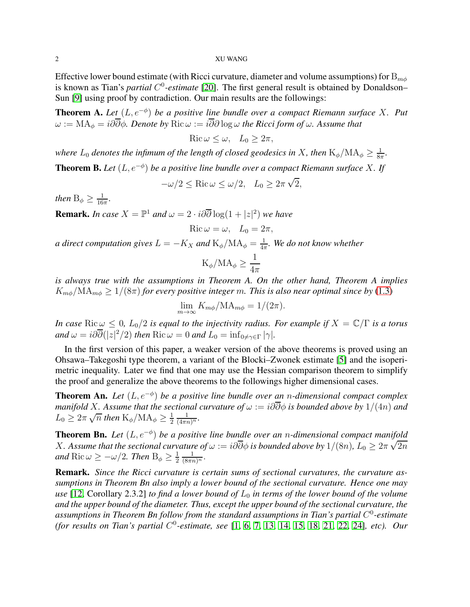Effective lower bound estimate (with Ricci curvature, diameter and volume assumptions) for  $B_{m\phi}$ is known as Tian's *partial* C<sup>0</sup>-estimate [\[20\]](#page-8-0). The first general result is obtained by Donaldson– Sun [\[9\]](#page-7-2) using proof by contradiction. Our main results are the followings:

**Theorem A.** Let  $(L, e^{-\phi})$  be a positive line bundle over a compact Riemann surface X. Put  $ω := MA<sub>φ</sub> = i\partial\overline{\partial}\phi$ *. Denote by* Ric  $ω := i\overline{\partial}\partial \log ω$  *the Ricci form of*  $ω$ *. Assume that* 

 $\text{Ric}\,\omega \leq \omega$ ,  $L_0 \geq 2\pi$ ,

where  $L_0$  denotes the infimum of the length of closed geodesics in  $X$ , then  $\mathrm{K}_\phi/\mathrm{MA}_\phi \geq \frac{1}{8\pi}$  $\frac{1}{8\pi}$ .

**Theorem B.** Let  $(L, e^{-\phi})$  be a positive line bundle over a compact Riemann surface X. If

 $-\omega/2 \le \text{Ric}\,\omega \le \omega/2$ ,  $L_0 \ge 2\pi\sqrt{2}$ ,

*then*  $B_{\phi} \geq \frac{1}{16}$  $\frac{1}{16\pi}$ .

**Remark.** *In case*  $X = \mathbb{P}^1$  *and*  $\omega = 2 \cdot i \partial \overline{\partial} \log(1 + |z|^2)$  *we have* 

$$
Ric \omega = \omega, \quad L_0 = 2\pi,
$$

*a direct computation gives*  $L = -K_X$  *and*  $\mathrm{K_\phi}/\mathrm{MA_\phi} = \frac{1}{4\pi}$ 4π *. We do not know whether*

$$
K_{\phi}/MA_{\phi} \ge \frac{1}{4\pi}
$$

*is always true with the assumptions in Theorem A. On the other hand, Theorem A implies*  $K_{m\phi}/\text{MA}_{m\phi} \geq 1/(8\pi)$  *for every positive integer m. This is also near optimal since by* [\(1.3\)](#page-0-1)

$$
\lim_{m \to \infty} K_{m\phi} / MA_{m\phi} = 1/(2\pi).
$$

*In case*  $\text{Ric}\,\omega \leq 0$ ,  $L_0/2$  *is equal to the injectivity radius. For example if*  $X = \mathbb{C}/\Gamma$  *is a torus*  $and \ \omega = i\partial \overline{\partial}(|z|^2/2) \ then \ Ric \ \omega = 0 \ and \ L_0 = \inf_{0 \neq \gamma \in \Gamma} |\gamma|.$ 

In the first version of this paper, a weaker version of the above theorems is proved using an Ohsawa–Takegoshi type theorem, a variant of the Blocki–Zwonek estimate [\[5\]](#page-7-3) and the isoperimetric inequality. Later we find that one may use the Hessian comparison theorem to simplify the proof and generalize the above theorems to the followings higher dimensional cases.

**Theorem An.** *Let*  $(L, e^{-\phi})$  *be a positive line bundle over an n-dimensional compact complex manifold* X. Assume that the sectional curvature of  $\omega := i\partial\overline{\partial}\phi$  is bounded above by 1/(4n) and  $L_0 \geq 2\pi \sqrt{n}$  then  $K_\phi/MA_\phi \geq \frac{1}{2}$ 2  $\frac{1}{(4\pi n)^n}$ .

**Theorem Bn.** Let  $(L, e^{-\phi})$  be a positive line bundle over an n-dimensional compact manifold X. Assume that the sectional curvature of  $\omega := i\partial\overline{\partial}\phi$  is bounded above by  $1/(8n)$ ,  $L_0 \geq 2\pi\sqrt{2n}$ and  $\mathrm{Ric}\,\omega \geq -\omega/2$ . Then  $\mathrm{B}_{\phi} \geq \frac{1}{2}$ 2  $\frac{1}{(8\pi n)^n}$ .

Remark. *Since the Ricci curvature is certain sums of sectional curvatures, the curvature assumptions in Theorem Bn also imply a lower bound of the sectional curvature. Hence one may use* [\[12,](#page-7-4) Corollary 2.3.2] *to find a lower bound of*  $L_0$  *in terms of the lower bound of the volume and the upper bound of the diameter. Thus, except the upper bound of the sectional curvature, the* assumptions in Theorem Bn follow from the standard assumptions in Tian's partial C<sup>0</sup>-estimate *(for results on Tian's partial* C 0 *-estimate, see* [\[1,](#page-7-5) [6,](#page-7-6) [7,](#page-7-7) [13,](#page-7-8) [14,](#page-7-9) [15,](#page-7-10) [18,](#page-7-11) [21,](#page-8-1) [22,](#page-8-2) [24\]](#page-8-3)*, etc). Our*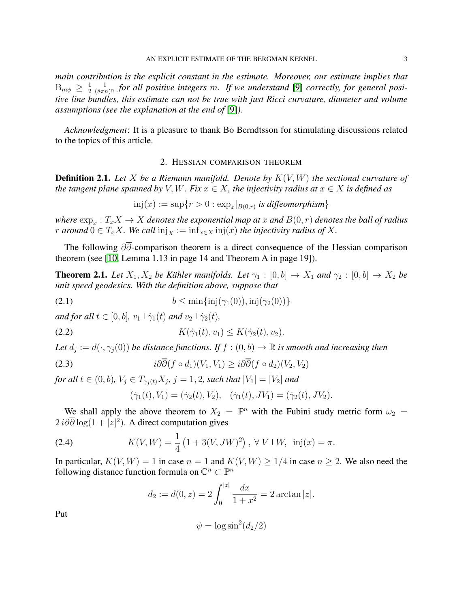*main contribution is the explicit constant in the estimate. Moreover, our estimate implies that*  $B_{m\phi} \geq \frac{1}{2}$ 2  $\frac{1}{(8\pi n)^n}$  for all positive integers m. If we understand [\[9\]](#page-7-2) correctly, for general posi*tive line bundles, this estimate can not be true with just Ricci curvature, diameter and volume assumptions (see the explanation at the end of* [\[9\]](#page-7-2)*).*

<span id="page-2-0"></span>*Acknowledgment*: It is a pleasure to thank Bo Berndtsson for stimulating discussions related to the topics of this article.

### 2. HESSIAN COMPARISON THEOREM

Definition 2.1. *Let* X *be a Riemann manifold. Denote by* K(V, W) *the sectional curvature of the tangent plane spanned by* V, W. Fix  $x \in X$ , the injectivity radius at  $x \in X$  is defined as

$$
inj(x) := \sup\{r > 0 : \exp_x|_{B(0,r)} \text{ is different} \}
$$

where  $\exp_x: T_xX \to X$  *denotes the exponential map at* x and  $B(0,r)$  *denotes the ball of radius r* around  $0 \in T_xX$ . We call  $\text{inj}_X := \text{inf}_{x \in X} \text{inj}(x)$  the injectivity radius of X.

The following ∂∂-comparison theorem is a direct consequence of the Hessian comparison theorem (see [\[10,](#page-7-12) Lemma 1.13 in page 14 and Theorem A in page 19]).

**Theorem 2.1.** Let  $X_1, X_2$  be Kähler manifolds. Let  $\gamma_1 : [0, b] \to X_1$  and  $\gamma_2 : [0, b] \to X_2$  be *unit speed geodesics. With the definition above, suppose that*

(2.1) 
$$
b \le \min\{\text{inj}(\gamma_1(0)), \text{inj}(\gamma_2(0))\}
$$

*and for all*  $t \in [0, b]$ *,*  $v_1 \perp \dot{v}_1(t)$  *and*  $v_2 \perp \dot{v}_2(t)$ *,* 

(2.2) 
$$
K(\dot{\gamma}_1(t), v_1) \leq K(\dot{\gamma}_2(t), v_2).
$$

Let  $d_j := d(\cdot, \gamma_j(0))$  be distance functions. If  $f : (0, b) \to \mathbb{R}$  is smooth and increasing then

(2.3) 
$$
i\partial\overline{\partial}(f \circ d_1)(V_1, V_1) \geq i\partial\overline{\partial}(f \circ d_2)(V_2, V_2)
$$

for all  $t \in (0, b)$ ,  $V_j \in T_{\gamma_j(t)} X_j$ ,  $j = 1, 2$ , such that  $|V_1| = |V_2|$  and

$$
(\dot{\gamma}_1(t), V_1) = (\dot{\gamma}_2(t), V_2), \quad (\dot{\gamma}_1(t), JV_1) = (\dot{\gamma}_2(t), JV_2).
$$

We shall apply the above theorem to  $X_2 = \mathbb{P}^n$  with the Fubini study metric form  $\omega_2 =$  $2 i \partial \overline{\partial} \log(1+|z|^2)$ . A direct computation gives

(2.4) 
$$
K(V, W) = \frac{1}{4} \left( 1 + 3(V, JW)^2 \right), \ \forall \ V \perp W, \ \text{inj}(x) = \pi.
$$

In particular,  $K(V, W) = 1$  in case  $n = 1$  and  $K(V, W) \ge 1/4$  in case  $n \ge 2$ . We also need the following distance function formula on  $\mathbb{C}^n \subset \mathbb{P}^n$ 

$$
d_2 := d(0, z) = 2 \int_0^{|z|} \frac{dx}{1 + x^2} = 2 \arctan|z|.
$$

Put

$$
\psi = \log \sin^2(d_2/2)
$$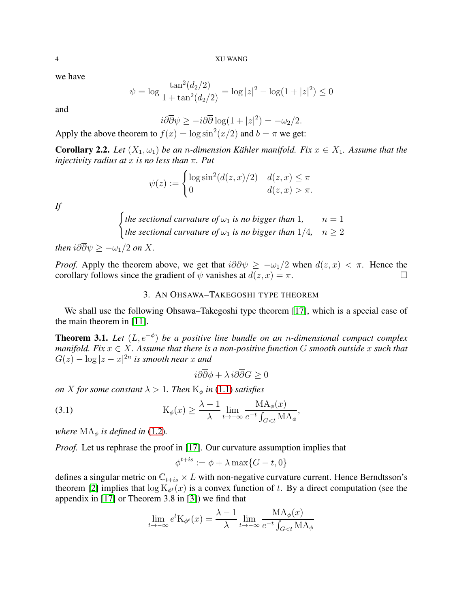4 XU WANG

we have

$$
\psi = \log \frac{\tan^2(d_2/2)}{1 + \tan^2(d_2/2)} = \log |z|^2 - \log(1 + |z|^2) \le 0
$$

and

$$
i\partial\overline{\partial}\psi \ge -i\partial\overline{\partial}\log(1+|z|^2) = -\omega_2/2.
$$

Apply the above theorem to  $f(x) = \log \sin^2(x/2)$  and  $b = \pi$  we get:

<span id="page-3-1"></span>**Corollary 2.2.** *Let*  $(X_1, \omega_1)$  *be an n-dimension Kähler manifold. Fix*  $x \in X_1$ *. Assume that the injectivity radius at* x *is no less than* π*. Put*

$$
\psi(z) := \begin{cases} \log \sin^2(d(z, x)/2) & d(z, x) \le \pi \\ 0 & d(z, x) > \pi. \end{cases}
$$

*If*

$$
\begin{cases} the\, setional\ curvature\ of\ \omega_1\ is\ no\ bigger\ than\ 1, & n=1\\ the\ sectional\ curvature\ of\ \omega_1\ is\ no\ bigger\ than\ 1/4, & n\geq 2 \end{cases}
$$

*then*  $i\partial \overline{\partial} \psi$  >  $-\omega_1/2$  *on* X.

<span id="page-3-0"></span>*Proof.* Apply the theorem above, we get that  $i\partial\overline{\partial}\psi \ge -\omega_1/2$  when  $d(z, x) < \pi$ . Hence the corollary follows since the gradient of  $\psi$  vanishes at  $d(z, x) = \pi$ . corollary follows since the gradient of  $\psi$  vanishes at  $d(z, x) = \pi$ .

## 3. AN OHSAWA–TAKEGOSHI TYPE THEOREM

We shall use the following Ohsawa–Takegoshi type theorem [\[17\]](#page-7-13), which is a special case of the main theorem in [\[11\]](#page-7-14).

<span id="page-3-3"></span>**Theorem 3.1.** Let  $(L, e^{-\phi})$  be a positive line bundle on an n-dimensional compact complex *manifold. Fix*  $x \in X$ *. Assume that there is a non-positive function* G *smooth outside* x *such that*  $G(z) - \log |z - x|^{2n}$  is smooth near x and

<span id="page-3-2"></span>
$$
i\partial\overline{\partial}\phi + \lambda i\partial\overline{\partial}G \ge 0
$$

*on X for some constant*  $\lambda > 1$ *. Then*  $K_{\phi}$  *in* [\(1.1\)](#page-0-2) *satisfies* 

(3.1) 
$$
K_{\phi}(x) \geq \frac{\lambda - 1}{\lambda} \lim_{t \to -\infty} \frac{MA_{\phi}(x)}{e^{-t} \int_{G < t} MA_{\phi}},
$$

*where*  $MA_{\phi}$  *is defined in* [\(1.2\)](#page-0-3).

*Proof.* Let us rephrase the proof in [\[17\]](#page-7-13). Our curvature assumption implies that

$$
\phi^{t+is} := \phi + \lambda \max\{G - t, 0\}
$$

defines a singular metric on  $\mathbb{C}_{t+i s} \times L$  with non-negative curvature current. Hence Berndtsson's theorem [\[2\]](#page-7-15) implies that  $\log K_{\phi^t}(x)$  is a convex function of t. By a direct computation (see the appendix in [\[17\]](#page-7-13) or Theorem 3.8 in [\[3\]](#page-7-16)) we find that

$$
\lim_{t \to -\infty} e^t \mathcal{K}_{\phi^t}(x) = \frac{\lambda - 1}{\lambda} \lim_{t \to -\infty} \frac{\text{MA}_{\phi}(x)}{e^{-t} \int_{G < t} \text{MA}_{\phi}}
$$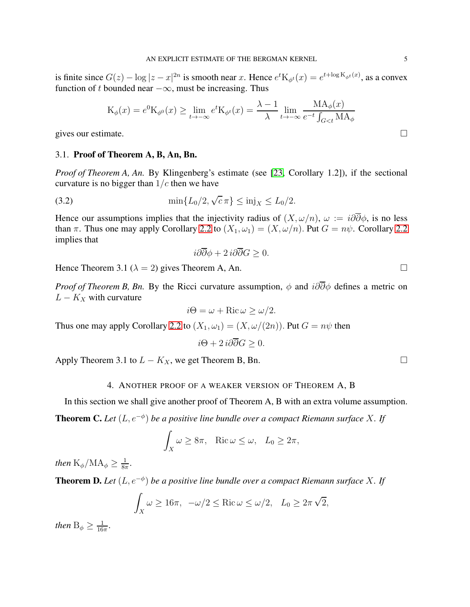is finite since  $G(z) - \log |z - x|^{2n}$  is smooth near x. Hence  $e^t K_{\phi^t}(x) = e^{t + \log K_{\phi^t}(x)}$ , as a convex function of t bounded near  $-\infty$ , must be increasing. Thus

$$
K_{\phi}(x) = e^{0} K_{\phi^{0}}(x) \ge \lim_{t \to -\infty} e^{t} K_{\phi^{t}}(x) = \frac{\lambda - 1}{\lambda} \lim_{t \to -\infty} \frac{MA_{\phi}(x)}{e^{-t} \int_{G < t} MA_{\phi}}
$$

<span id="page-4-0"></span>gives our estimate.  $\Box$ 

### 3.1. Proof of Theorem A, B, An, Bn.

*Proof of Theorem A, An.* By Klingenberg's estimate (see [\[23,](#page-8-4) Corollary 1.2]), if the sectional curvature is no bigger than  $1/c$  then we have

(3.2) 
$$
\min\{L_0/2, \sqrt{c}\,\pi\} \leq \text{inj}_X \leq L_0/2.
$$

Hence our assumptions implies that the injectivity radius of  $(X, \omega/n)$ ,  $\omega := i\partial\overline{\partial}\phi$ , is no less than π. Thus one may apply Corollary [2.2](#page-3-1) to  $(X_1, \omega_1) = (X, \omega/n)$ . Put  $G = n\psi$ . Corollary 2.2 implies that

$$
i\partial\overline{\partial}\phi + 2 i\partial\overline{\partial}G \ge 0.
$$

Hence Theorem 3.1 ( $\lambda = 2$ ) gives Theorem A, An.

*Proof of Theorem B, Bn.* By the Ricci curvature assumption,  $\phi$  and  $i\partial\overline{\partial}\phi$  defines a metric on  $L - K_X$  with curvature

$$
i\Theta = \omega + \text{Ric}\,\omega \ge \omega/2.
$$

Thus one may apply Corollary [2.2](#page-3-1) to  $(X_1, \omega_1) = (X, \omega/(2n))$ . Put  $G = n\psi$  then

$$
i\Theta + 2 i\partial \overline{\partial} G \ge 0.
$$

<span id="page-4-1"></span>Apply Theorem 3.1 to  $L - K_X$ , we get Theorem B, Bn.

### 4. ANOTHER PROOF OF A WEAKER VERSION OF THEOREM A, B

In this section we shall give another proof of Theorem A, B with an extra volume assumption. **Theorem C.** Let  $(L, e^{-\phi})$  be a positive line bundle over a compact Riemann surface X. If

$$
\int_X \omega \ge 8\pi, \quad \text{Ric}\,\omega \le \omega, \quad L_0 \ge 2\pi,
$$

then  $\rm K_{\phi}/MA_{\phi} \geq \frac{1}{8\pi}$  $\frac{1}{8\pi}$ .

**Theorem D.** Let  $(L, e^{-\phi})$  be a positive line bundle over a compact Riemann surface X. If

$$
\int_X \omega \ge 16\pi, \quad -\omega/2 \le \text{Ric}\,\omega \le \omega/2, \quad L_0 \ge 2\pi\sqrt{2},
$$

*then*  $B_{\phi} \geq \frac{1}{16}$  $\frac{1}{16\pi}$ .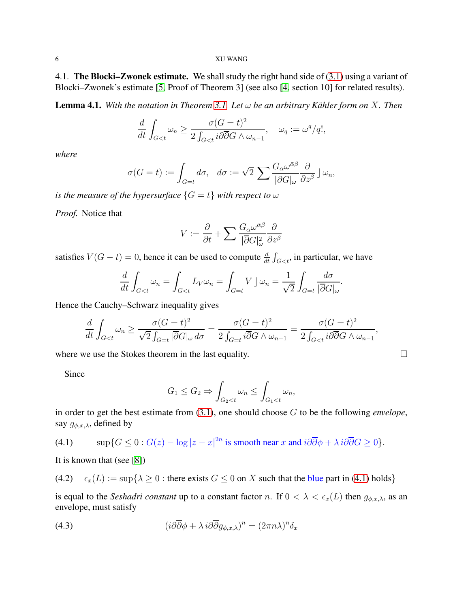### <span id="page-5-0"></span>6 XU WANG

4.1. The Blocki–Zwonek estimate. We shall study the right hand side of  $(3.1)$  using a variant of Blocki–Zwonek's estimate [\[5,](#page-7-3) Proof of Theorem 3] (see also [\[4,](#page-7-17) section 10] for related results).

<span id="page-5-3"></span>Lemma 4.1. *With the notation in Theorem [3.1.](#page-3-3) Let* ω *be an arbitrary Kähler form on* X*. Then*

$$
\frac{d}{dt} \int_{G < t} \omega_n \ge \frac{\sigma(G = t)^2}{2 \int_{G < t} i \partial \overline{\partial} G \wedge \omega_{n-1}}, \quad \omega_q := \omega^q / q!,
$$

*where*

$$
\sigma(G = t) := \int_{G = t} d\sigma, \quad d\sigma := \sqrt{2} \sum \frac{G_{\bar{\alpha}} \omega^{\bar{\alpha}\beta}}{|\bar{\partial} G|_{\omega}} \frac{\partial}{\partial z^{\beta}} \, \mathrm{d} \omega_n,
$$

*is the measure of the hypersurface*  $\{G = t\}$  *with respect to*  $\omega$ 

*Proof.* Notice that

$$
V := \frac{\partial}{\partial t} + \sum \frac{G_{\bar{\alpha}} \omega^{\bar{\alpha}\beta}}{|\bar{\partial} G|_{\omega}^2} \frac{\partial}{\partial z^{\beta}}
$$

satisfies  $V(G-t) = 0$ , hence it can be used to compute  $\frac{d}{dt} \int_{G < t}$ , in particular, we have

$$
\frac{d}{dt} \int_{G < t} \omega_n = \int_{G < t} L_V \omega_n = \int_{G = t} V \, \rfloor \, \omega_n = \frac{1}{\sqrt{2}} \int_{G = t} \frac{d\sigma}{|\overline{\partial}G|_\omega}.
$$

Hence the Cauchy–Schwarz inequality gives

$$
\frac{d}{dt} \int_{G < t} \omega_n \ge \frac{\sigma(G = t)^2}{\sqrt{2} \int_{G = t} |\overline{\partial}G|_{\omega} d\sigma} = \frac{\sigma(G = t)^2}{2 \int_{G = t} i \overline{\partial}G \wedge \omega_{n-1}} = \frac{\sigma(G = t)^2}{2 \int_{G < t} i \partial \overline{\partial}G \wedge \omega_{n-1}},
$$

where we use the Stokes theorem in the last equality.  $\Box$ 

Since

$$
G_1 \le G_2 \Rightarrow \int_{G_2 < t} \omega_n \le \int_{G_1 < t} \omega_n,
$$

in order to get the best estimate from [\(3.1\)](#page-3-2), one should choose G to be the following *envelope*, say  $g_{\phi,x,\lambda}$ , defined by

<span id="page-5-1"></span>(4.1) 
$$
\sup\{G \le 0 : G(z) - \log|z - x|^{2n} \text{ is smooth near } x \text{ and } i\partial\overline{\partial}\phi + \lambda i\partial\overline{\partial}G \ge 0\}.
$$

It is known that (see [\[8\]](#page-7-18))

<span id="page-5-4"></span>(4.2) 
$$
\epsilon_x(L) := \sup\{\lambda \geq 0 : \text{there exists } G \leq 0 \text{ on } X \text{ such that the blue part in (4.1) holds}\}
$$

is equal to the *Seshadri constant* up to a constant factor n. If  $0 < \lambda < \epsilon_x(L)$  then  $g_{\phi,x,\lambda}$ , as an envelope, must satisfy

<span id="page-5-2"></span>(4.3) 
$$
(i\partial\overline{\partial}\phi + \lambda i\partial\overline{\partial}g_{\phi,x,\lambda})^n = (2\pi n\lambda)^n \delta_x
$$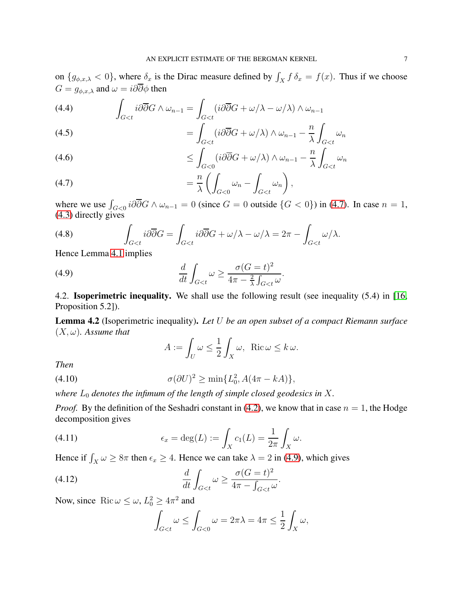on  $\{g_{\phi,x,\lambda} < 0\}$ , where  $\delta_x$  is the Dirac measure defined by  $\int_X f \, \delta_x = f(x)$ . Thus if we choose  $G = g_{\phi,x,\lambda}$  and  $\omega = i\partial\overline{\partial}\phi$  then

(4.4) 
$$
\int_{G < t} i \partial \overline{\partial} G \wedge \omega_{n-1} = \int_{G < t} (i \partial \overline{\partial} G + \omega / \lambda - \omega / \lambda) \wedge \omega_{n-1}
$$

(4.5) 
$$
= \int_{G < t} (i \partial \overline{\partial} G + \omega / \lambda) \wedge \omega_{n-1} - \frac{n}{\lambda} \int_{G < t} \omega_n
$$

(4.6) 
$$
\leq \int_{G<0} (i\partial \overline{\partial} G + \omega/\lambda) \wedge \omega_{n-1} - \frac{n}{\lambda} \int_{G
$$

<span id="page-6-1"></span>= n λ Z G<0 ω<sup>n</sup> − Z G<t ωn (4.7) ,

where we use  $\int_{G<0} i \partial \overline{\partial} G \wedge \omega_{n-1} = 0$  (since  $G = 0$  outside  $\{G < 0\}$ ) in [\(4.7\)](#page-6-1). In case  $n = 1$ , [\(4.3\)](#page-5-2) directly gives

(4.8) 
$$
\int_{G
$$

Hence Lemma [4.1](#page-5-3) implies

(4.9) 
$$
\frac{d}{dt}\int_{G
$$

<span id="page-6-0"></span>4.2. **Isoperimetric inequality.** We shall use the following result (see inequality  $(5.4)$  in [\[16,](#page-7-19) Proposition 5.2]).

Lemma 4.2 (Isoperimetric inequality). *Let* U *be an open subset of a compact Riemann surface*  $(X, \omega)$ *. Assume that* 

<span id="page-6-3"></span><span id="page-6-2"></span>
$$
A := \int_U \omega \le \frac{1}{2} \int_X \omega, \ \operatorname{Ric} \omega \le k \omega.
$$

*Then*

(4.10) 
$$
\sigma(\partial U)^2 \ge \min\{L_0^2, A(4\pi - kA)\},
$$

where  $L_0$  *denotes the infimum of the length of simple closed geodesics in*  $X$ *.* 

*Proof.* By the definition of the Seshadri constant in [\(4.2\)](#page-5-4), we know that in case  $n = 1$ , the Hodge decomposition gives

(4.11) 
$$
\epsilon_x = \deg(L) := \int_X c_1(L) = \frac{1}{2\pi} \int_X \omega.
$$

Hence if  $\int_X \omega \ge 8\pi$  then  $\epsilon_x \ge 4$ . Hence we can take  $\lambda = 2$  in [\(4.9\)](#page-6-2), which gives

(4.12) 
$$
\frac{d}{dt} \int_{G < t} \omega \ge \frac{\sigma (G = t)^2}{4\pi - \int_{G < t} \omega}.
$$

Now, since Ric  $\omega \leq \omega$ ,  $L_0^2 \geq 4\pi^2$  and

<span id="page-6-4"></span>
$$
\int_{G
$$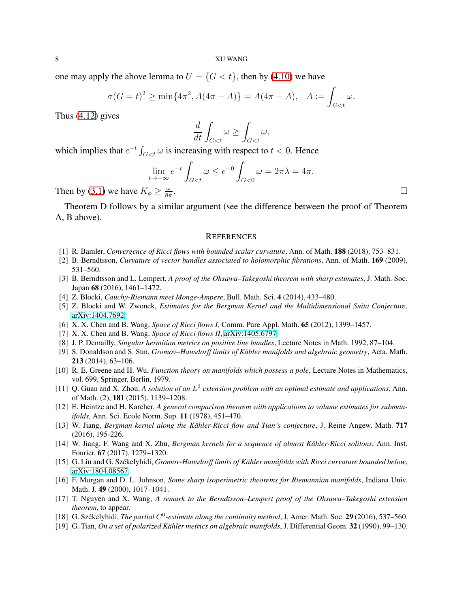one may apply the above lemma to  $U = \{G < t\}$ , then by [\(4.10\)](#page-6-3) we have

$$
\sigma(G = t)^2 \ge \min\{4\pi^2, A(4\pi - A)\} = A(4\pi - A), \quad A := \int_{G < t} \omega.
$$

Thus [\(4.12\)](#page-6-4) gives

$$
\frac{d}{dt} \int_{G < t} \omega \ge \int_{G < t} \omega,
$$

which implies that  $e^{-t} \int_{G < t} \omega$  is increasing with respect to  $t < 0$ . Hence

$$
\lim_{t \to -\infty} e^{-t} \int_{G < t} \omega \le e^{-0} \int_{G < 0} \omega = 2\pi\lambda = 4\pi.
$$
\n
$$
\lim_{\zeta \to 0} \frac{\omega}{\zeta} \ge \frac{\omega}{\zeta\pi}.
$$

Then by [\(3.1\)](#page-3-2) we have  $K_{\phi} \geq \frac{\omega}{8\pi}$ 8π

Theorem D follows by a similar argument (see the difference between the proof of Theorem A, B above).

### <span id="page-7-0"></span>**REFERENCES**

- <span id="page-7-15"></span><span id="page-7-5"></span>[1] R. Bamler, *Convergence of Ricci flows with bounded scalar curvature*, Ann. of Math. 188 (2018), 753–831.
- <span id="page-7-16"></span>[2] B. Berndtsson, *Curvature of vector bundles associated to holomorphic fibrations*, Ann. of Math. 169 (2009), 531–560.
- [3] B. Berndtsson and L. Lempert, *A proof of the Ohsawa–Takegoshi theorem with sharp estimates*, J. Math. Soc. Japan 68 (2016), 1461–1472.
- <span id="page-7-17"></span><span id="page-7-3"></span>[4] Z. Blocki, *Cauchy-Riemann meet Monge-Ampere*, Bull. Math. Sci. 4 (2014), 433–480.
- <span id="page-7-6"></span>[5] Z. Blocki and W. Zwonek, *Estimates for the Bergman Kernel and the Multidimensional Suita Conjecture*, [arXiv:1404.7692.](http://arxiv.org/abs/1404.7692)
- <span id="page-7-7"></span>[6] X. X. Chen and B. Wang, *Space of Ricci flows I*, Comm. Pure Appl. Math. 65 (2012), 1399–1457.
- <span id="page-7-18"></span>[7] X. X. Chen and B. Wang, *Space of Ricci flows II*, [arXiv:1405.6797.](http://arxiv.org/abs/1405.6797)
- <span id="page-7-2"></span>[8] J. P. Demailly, *Singular hermitian metrics on positive line bundles*, Lecture Notes in Math. 1992, 87–104.
- [9] S. Donaldson and S. Sun, *Gromov–Hausdorff limits of Kähler manifolds and algebraic geometry*, Acta. Math. 213 (2014), 63–106.
- <span id="page-7-12"></span>[10] R. E. Greene and H. Wu, *Function theory on manifolds which possess a pole*, Lecture Notes in Mathematics, vol. 699, Springer, Berlin, 1979.
- <span id="page-7-14"></span>[11] Q. Guan and X. Zhou, *A solution of an* L 2 *extension problem with an optimal estimate and applications*, Ann. of Math. (2), 181 (2015), 1139–1208.
- <span id="page-7-4"></span>[12] E. Heintze and H. Karcher, *A general comparison theorem with applications to volume estimates for submanifolds*, Ann. Sci. Ecole Norm. Sup. 11 (1978), 451–470.
- <span id="page-7-8"></span>[13] W. Jiang, *Bergman kernel along the Kähler-Ricci flow and Tian's conjecture*, J. Reine Angew. Math. 717 (2016), 195-226.
- <span id="page-7-9"></span>[14] W. Jiang, F. Wang and X. Zhu, *Bergman kernels for a sequence of almost Kähler-Ricci solitons*, Ann. Inst. Fourier. 67 (2017), 1279–1320.
- <span id="page-7-19"></span><span id="page-7-10"></span>[15] G. Liu and G. Székelyhidi, *Gromov-Hausdorff limits of Kähler manifolds with Ricci curvature bounded below*, [arXiv:1804.08567.](http://arxiv.org/abs/1804.08567)
- [16] F. Morgan and D. L. Johnson, *Some sharp isoperimetric theorems for Riemannian manifolds*, Indiana Univ. Math. J. 49 (2000), 1017–1041.
- <span id="page-7-13"></span>[17] T. Nguyen and X. Wang, *A remark to the Berndtsson–Lempert proof of the Ohsawa–Takegoshi extension theorem*, to appear.
- <span id="page-7-11"></span><span id="page-7-1"></span>[18] G. Székelyhidi, *The partial C<sup>0</sup>-estimate along the continuity method*, J. Amer. Math. Soc. 29 (2016), 537–560.
- [19] G. Tian, *On a set of polarized Kähler metrics on algebraic manifolds*, J. Differential Geom. 32 (1990), 99–130.